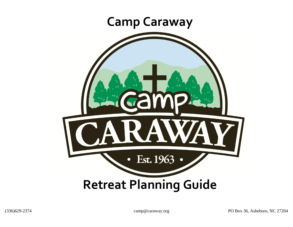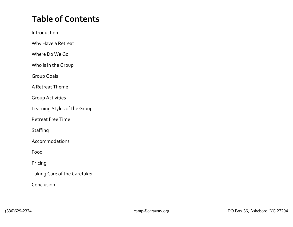## **Table of Contents**

Introduction

Why Have a Retreat

Where Do We Go

Who is in the Group

Group Goals

A Retreat Theme

Group Activities

Learning Styles of the Group

Retreat Free Time

**Staffing** 

Accommodations

Food

Pricing

Taking Care of the Caretaker

Conclusion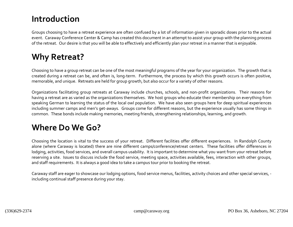### **Introduction**

Groups choosing to have a retreat experience are often confused by a lot of information given in sporadic doses prior to the actual event. Caraway Conference Center & Camp has created this document in an attempt to assist your group with the planning process of the retreat. Our desire is that you will be able to effectively and efficiently plan your retreat in a manner that is enjoyable.

## **Why Retreat?**

Choosing to have a group retreat can be one of the most meaningful programs of the year for your organization. The growth that is created during a retreat can be, and often is, long-term. Furthermore, the process by which this growth occurs is often positive, memorable, and unique. Retreats are held for group growth, but also occur for a variety of other reasons.

Organizations facilitating group retreats at Caraway include churches, schools, and non-profit organizations. Their reasons for having a retreat are as varied as the organizations themselves. We host groups who educate their membership on everything from speaking German to learning the status of the local owl population. We have also seen groups here for deep spiritual experiences including summer camps and men's get-aways. Groups come for different reasons, but the experience usually has some things in common. These bonds include making memories, meeting friends, strengthening relationships, learning, and growth.

### **Where Do We Go?**

Choosing the location is vital to the success of your retreat. Different facilities offer different experiences. In Randolph County alone (where Caraway is located) there are nine different camps/conference/retreat centers. These facilities offer differences in lodging, activities, food services, and overall campus usability. It is important to determine what you want from your retreat before reserving a site. Issues to discuss include the food service, meeting space, activities available, fees, interaction with other groups, and staff requirements. It is always a good idea to take a campus tour prior to booking the retreat.

Caraway staff are eager to showcase our lodging options, food service menus, facilities, activity choices and other special services, including continual staff presence during your stay.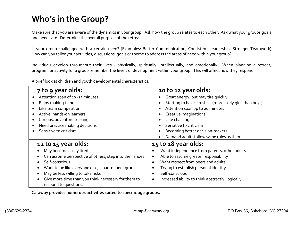## **Who's in the Group?**

Make sure that you are aware of the dynamics in your group. Ask how the group relates to each other. Ask what your groups goals and needs are. Determine the overall purpose of the retreat.

Is your group challenged with a certain need? (Examples: Better Communication, Consistent Leadership, Stronger Teamwork) How can you tailor your activities, discussions, goals or theme to address the areas of need within your group?

Individuals develop throughout their lives - physically, spiritually, intellectually, and emotionally. When planning a retreat, program, or activity for a group remember the levels of development within your group. This will affect how they respond.

A brief look at children and youth developmental characteristics:

| 7 to 9 year olds:<br>Attention span of 10 -15 minutes<br>Enjoy making things<br>Like team competition<br>Active, hands-on learners<br>Curious, adventure seeking<br>Need practice making decisions<br>Sensitive to criticism                                                                            | 10 to 12 year olds:<br>Great energy, but may tire quickly<br>Starting to have 'crushes' (more likely girls than boys)<br>Attention span up to 20 minutes<br>Creative imaginations<br>Like challenges<br>Sensitive to criticism<br>Becoming better decision-makers<br>Demand adults follow same rules as them          |
|---------------------------------------------------------------------------------------------------------------------------------------------------------------------------------------------------------------------------------------------------------------------------------------------------------|-----------------------------------------------------------------------------------------------------------------------------------------------------------------------------------------------------------------------------------------------------------------------------------------------------------------------|
| 12 to 15 year olds:<br>May become easily tired<br>Can assume perspective of others, step into their shoes<br>Self-conscious<br>Want to be like everyone else, a part of peer group<br>May be less willing to take risks<br>Give more time than you think necessary for them to<br>respond to questions. | 15 to 18 year olds:<br>Want independence from parents, other adults<br>Able to assume greater responsibility<br>$\bullet$<br>Want respect from peers and adults<br>$\bullet$<br>Trying to establish personal identity<br>Self-conscious<br>$\bullet$<br>Increased ability to think abstractly, logically<br>$\bullet$ |

**Caraway provides numerous activities suited to specific age groups.**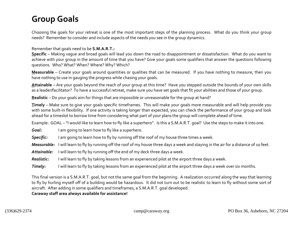### **Group Goals**

Choosing the goals for your retreat is one of the most important steps of the planning process. What do you think your group needs? Remember to consider and include aspects of the needs you see in the group dynamics.

Remember that goals need to be **S.M.A.R.T.:**

**Specific** – Making vague and broad goals will lead you down the road to disappointment or dissatisfaction. What do you want to achieve with your group in the amount of time that you have? Give your goals some qualifiers that answer the questions following questions. Who? What? When? Where? Why? Which?

**Measurable** – Create your goals around quantities or qualities that can be measured. If you have nothing to measure, then you have nothing to use in gauging the progress while chasing your goals.

**Attainable** – Are your goals beyond the reach of your group at this time? Have you stepped outside the bounds of your own skills as a leader/facilitator? To have a successful retreat, make sure you have set goals that fit your abilities and those of your group.

**Realistic** – Do your goals aim for things that are impossible or unreasonable for the group at hand?

**Timely** – Make sure to give your goals specific timeframes. This will make your goals more measurable and will help provide you with some built-in flexibility. If one activity is taking longer than expected, you can check the performance of your group and look ahead for a timeslot to borrow time from considering what part of your plans the group will complete ahead of time.

Example: GOAL – "I would like to learn how to fly like a superhero". Is this a S.M.A.R.T. goal? Use the steps to make it into one.

*Goal:* I am going to learn how to fly like a superhero.

**Specific:** I am going to learn how to fly by running off the roof of my house three times a week.

*Measurable:* I will learn to fly by running off the roof of my house three days a week and staying in the air for a distance of 10 feet.

Attainable: I will learn to fly by running off the end of my deck three days a week.

*Realistic:* I will learn to fly by taking lessons from an experienced pilot at the airport three days a week.

*Timely:* I will learn to fly by taking lessons from an experienced pilot at the airport three days a week over six months.

This final version is a S.M.A.R.T. goal, but not the same goal from the beginning. A realization occurred along the way that learning to fly by hurling myself off of a building would be hazardous. It did not turn out to be realistic to learn to fly without some sort of aircraft. After adding in some qualifiers and timeframes, a S.M.A.R.T. goal developed. **Caraway staff area always available for assistance!**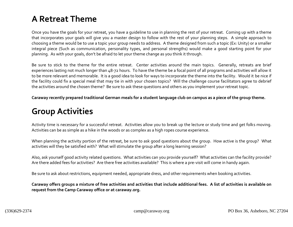## **A Retreat Theme**

Once you have the goals for your retreat, you have a guideline to use in planning the rest of your retreat. Coming up with a theme that incorporates your goals will give you a master design to follow with the rest of your planning steps. A simple approach to choosing a theme would be to use a topic your group needs to address. A theme designed from such a topic (Ex: Unity) or a smaller integral piece (Such as communication, personality types, and personal strengths) would make a good starting point for your planning. As with your goals, don't be afraid to let your theme change as you think it through.

Be sure to stick to the theme for the entire retreat. Center activities around the main topics. Generally, retreats are brief experiences lasting not much longer than 48-72 hours. To have the theme be a focal point of all programs and activities will allow it to be more relevant and memorable. It is a good idea to look for ways to incorporate the theme into the facility. Would it be nice if the facility could fix a special meal that may tie in with your chosen topics? Will the challenge course facilitators agree to debrief the activities around the chosen theme? Be sure to ask these questions and others as you implement your retreat topic.

**Caraway recently prepared traditional German meals for a student language club on campus as a piece of the group theme.** 

## **Group Activities**

Activity time is necessary for a successful retreat. Activities allow you to break up the lecture or study time and get folks moving. Activities can be as simple as a hike in the woods or as complex as a high ropes course experience.

When planning the activity portion of the retreat, be sure to ask good questions about the group. How active is the group? What activities will they be satisfied with? What will stimulate the group after a long learning session?

Also, ask yourself good activity related questions. What activities can you provide yourself? What activities can the facility provide? Are there added fees for activities? Are there free activities available? This is where a pre-visit will come in handy again.

Be sure to ask about restrictions, equipment needed, appropriate dress, and other requirements when booking activities.

**Caraway offers groups a mixture of free activities and activities that include additional fees. A list of activities is available on request from the Camp Caraway office or at caraway.org.**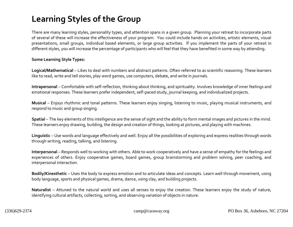## **Learning Styles of the Group**

There are many learning styles, personality types, and attention spans in a given group. Planning your retreat to incorporate parts of several of these will increase the effectiveness of your program. You could include hands on activities, artistic elements, visual presentations, small groups, individual based elements, or large group activities. If you implement the parts of your retreat in different styles, you will increase the percentage of participants who will feel that they have benefited in some way by attending.

#### **Some Learning Style Types:**

**Logical/Mathematical** – Likes to deal with numbers and abstract patterns. Often referred to as scientific reasoning. These learners like to read, write and tell stories, play word games, use computers, debate, and write in journals.

**Intrapersonal** – Comfortable with self-reflection, thinking about thinking, and spirituality. Involves knowledge of inner feelings and emotional responses. These learners prefer independent, self-paced study, journal keeping, and individualized projects.

**Musical** – Enjoys rhythmic and tonal patterns. These learners enjoy singing, listening to music, playing musical instruments, and respond to music and group singing.

**Spatial** – The key elements of this intelligence are the sense of sight and the ability to form mental images and pictures in the mind. These learners enjoy drawing, building, the design and creation of things, looking at pictures, and playing with machines.

**Linguistic** – Use words and language effectively and well. Enjoy all the possibilities of exploring and express realities through words through writing, reading, talking, and listening.

**Interpersonal** – Responds well to working with others. Able to work cooperatively and have a sense of empathy for the feelings and experiences of others. Enjoy cooperative games, board games, group brainstorming and problem solving, peer coaching, and interpersonal interaction.

**Bodily/Kinesthetic** – Uses the body to express emotion and to articulate ideas and concepts. Learn well through movement, using body language, sports and physical games, drama, dance, using clay, and building projects.

**Naturalist** – Attuned to the natural world and uses all senses to enjoy the creation. These learners enjoy the study of nature, identifying cultural artifacts, collecting, sorting, and observing variation of objects in nature.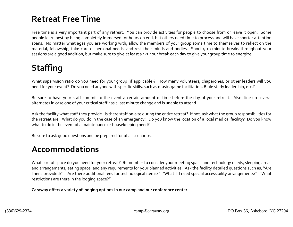## **Retreat Free Time**

Free time is a very important part of any retreat. You can provide activities for people to choose from or leave it open. Some people learn best by being completely immersed for hours on end, but others need time to process and will have shorter attention spans. No matter what ages you are working with, allow the members of your group some time to themselves to reflect on the material, fellowship, take care of personal needs, and rest their minds and bodies. Short 5-10 minute breaks throughout your sessions are a good addition, but make sure to give at least a 1-2 hour break each day to give your group time to energize.

## **Staffing**

What supervision ratio do you need for your group (if applicable)? How many volunteers, chaperones, or other leaders will you need for your event? Do you need anyone with specific skills, such as music, game facilitation, Bible study leadership, etc.?

Be sure to have your staff commit to the event a certain amount of time before the day of your retreat. Also, line up several alternates in case one of your critical staff has a last minute change and is unable to attend.

Ask the facility what staff they provide. Is there staff on-site during the entire retreat? If not, ask what the group responsibilities for the retreat are. What do you do in the case of an emergency? Do you know the location of a local medical facility? Do you know what to do in the event of a maintenance or housekeeping need?

Be sure to ask good questions and be prepared for of all scenarios.

### **Accommodations**

What sort of space do you need for your retreat? Remember to consider your meeting space and technology needs, sleeping areas and arrangements, eating space, and any requirements for your planned activities. Ask the facility detailed questions such as; "Are linens provided?" "Are there additional fees for technological items?" "What if I need special accessibility arrangements?" "What restrictions are there in the lodging space?"

**Caraway offers a variety of lodging options in our camp and our conference center.**